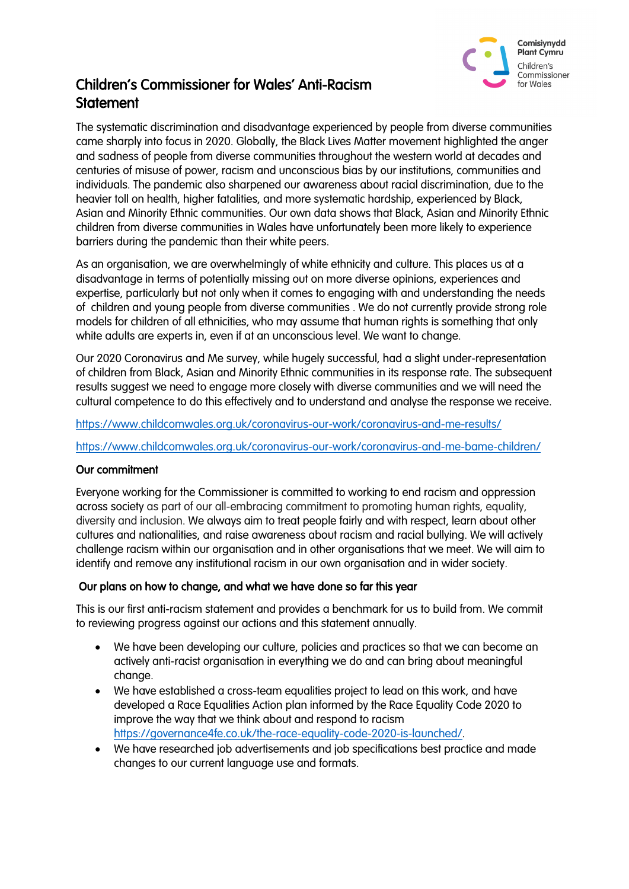

# Children's Commissioner for Wales' Anti-Racism **Statement**

The systematic discrimination and disadvantage experienced by people from diverse communities came sharply into focus in 2020. Globally, the Black Lives Matter movement highlighted the anger and sadness of people from diverse communities throughout the western world at decades and centuries of misuse of power, racism and unconscious bias by our institutions, communities and individuals. The pandemic also sharpened our awareness about racial discrimination, due to the heavier toll on health, higher fatalities, and more systematic hardship, experienced by Black, Asian and Minority Ethnic communities. Our own data shows that Black, Asian and Minority Ethnic children from diverse communities in Wales have unfortunately been more likely to experience barriers during the pandemic than their white peers.

As an organisation, we are overwhelmingly of white ethnicity and culture. This places us at a disadvantage in terms of potentially missing out on more diverse opinions, experiences and expertise, particularly but not only when it comes to engaging with and understanding the needs of children and young people from diverse communities . We do not currently provide strong role models for children of all ethnicities, who may assume that human rights is something that only white adults are experts in, even if at an unconscious level. We want to change.

Our 2020 Coronavirus and Me survey, while hugely successful, had a slight under-representation of children from Black, Asian and Minority Ethnic communities in its response rate. The subsequent results suggest we need to engage more closely with diverse communities and we will need the cultural competence to do this effectively and to understand and analyse the response we receive.

<https://www.childcomwales.org.uk/coronavirus-our-work/coronavirus-and-me-results/>

<https://www.childcomwales.org.uk/coronavirus-our-work/coronavirus-and-me-bame-children/>

### Our commitment

Everyone working for the Commissioner is committed to working to end racism and oppression across society as part of our all-embracing commitment to promoting human rights, equality, diversity and inclusion. We always aim to treat people fairly and with respect, learn about other cultures and nationalities, and raise awareness about racism and racial bullying. We will actively challenge racism within our organisation and in other organisations that we meet. We will aim to identify and remove any institutional racism in our own organisation and in wider society.

### Our plans on how to change, and what we have done so far this year

This is our first anti-racism statement and provides a benchmark for us to build from. We commit to reviewing progress against our actions and this statement annually.

- We have been developing our culture, policies and practices so that we can become an actively anti-racist organisation in everything we do and can bring about meaningful change.
- We have established a cross-team equalities project to lead on this work, and have developed a Race Equalities Action plan informed by the Race Equality Code 2020 to improve the way that we think about and respond to racism [https://governance4fe.co.uk/the-race-equality-code-2020-is-launched/.](https://governance4fe.co.uk/the-race-equality-code-2020-is-launched/)
- We have researched job advertisements and job specifications best practice and made changes to our current language use and formats.